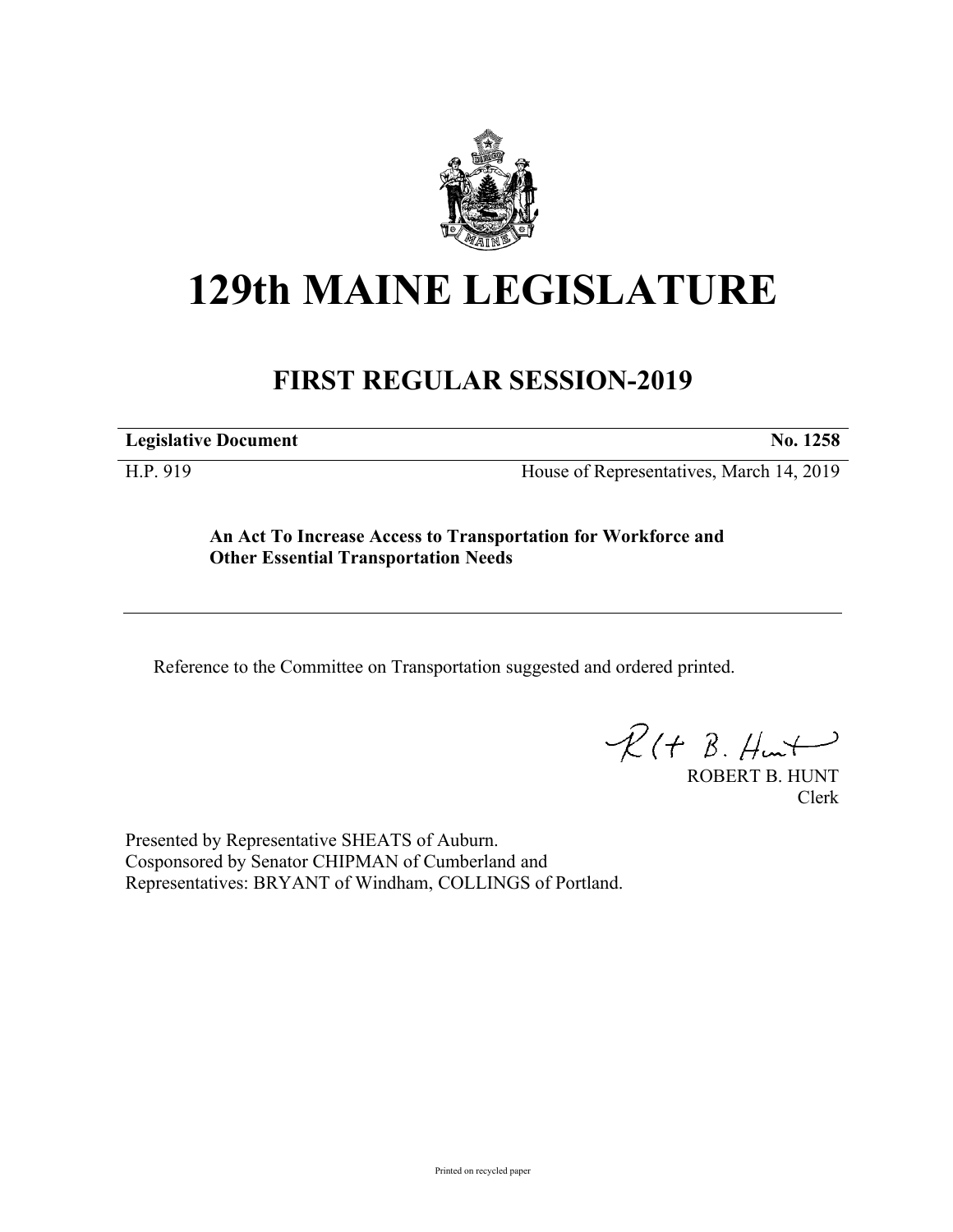

# **129th MAINE LEGISLATURE**

# **FIRST REGULAR SESSION-2019**

**Legislative Document No. 1258**

H.P. 919 House of Representatives, March 14, 2019

**An Act To Increase Access to Transportation for Workforce and Other Essential Transportation Needs**

Reference to the Committee on Transportation suggested and ordered printed.

 $R(t B. Hmt)$ 

ROBERT B. HUNT Clerk

Presented by Representative SHEATS of Auburn. Cosponsored by Senator CHIPMAN of Cumberland and Representatives: BRYANT of Windham, COLLINGS of Portland.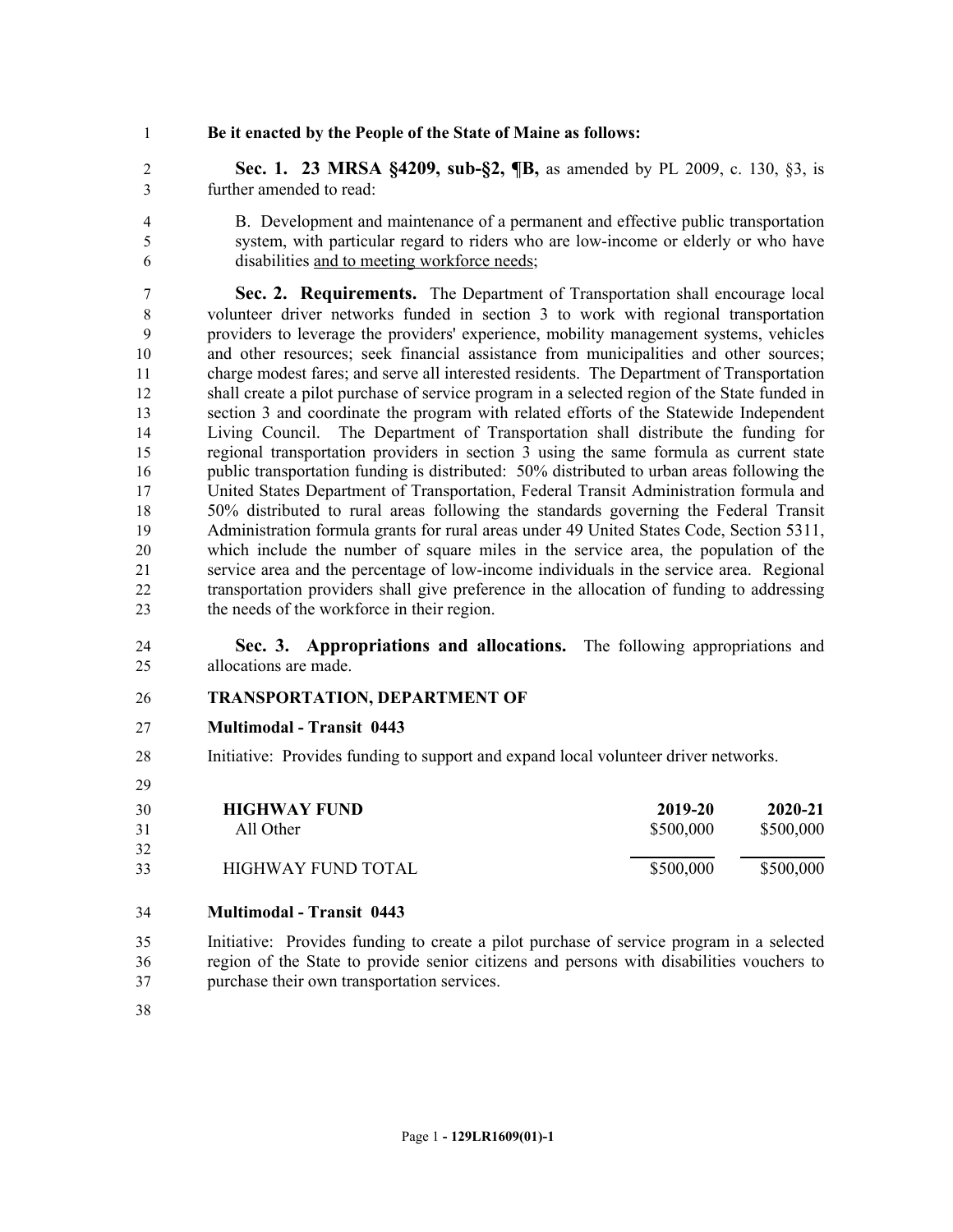### **Be it enacted by the People of the State of Maine as follows:**

 **Sec. 1. 23 MRSA §4209, sub-§2, ¶B,** as amended by PL 2009, c. 130, §3, is further amended to read:

 B. Development and maintenance of a permanent and effective public transportation system, with particular regard to riders who are low-income or elderly or who have disabilities and to meeting workforce needs;

 **Sec. 2. Requirements.** The Department of Transportation shall encourage local volunteer driver networks funded in section 3 to work with regional transportation providers to leverage the providers' experience, mobility management systems, vehicles and other resources; seek financial assistance from municipalities and other sources; charge modest fares; and serve all interested residents. The Department of Transportation shall create a pilot purchase of service program in a selected region of the State funded in section 3 and coordinate the program with related efforts of the Statewide Independent Living Council. The Department of Transportation shall distribute the funding for regional transportation providers in section 3 using the same formula as current state public transportation funding is distributed: 50% distributed to urban areas following the United States Department of Transportation, Federal Transit Administration formula and 50% distributed to rural areas following the standards governing the Federal Transit Administration formula grants for rural areas under 49 United States Code, Section 5311, which include the number of square miles in the service area, the population of the service area and the percentage of low-income individuals in the service area. Regional transportation providers shall give preference in the allocation of funding to addressing the needs of the workforce in their region.

 **Sec. 3. Appropriations and allocations.** The following appropriations and allocations are made.

#### **TRANSPORTATION, DEPARTMENT OF**

- **Multimodal Transit 0443**
- Initiative: Provides funding to support and expand local volunteer driver networks.
- **HIGHWAY FUND 2019-20 2020-21** All Other \$500,000 \$500,000 \$500,000 \$500,000 \$500,000 \$500,000 \$500,000 \$500,000 \$500,000 \$500,000 \$500,000 \$500,000 \$500,000 \$500,000 \$500,000 \$500,000 \$500,000 \$500,000 \$500,000 \$500,000 \$500,000 \$500,000 \$500,000 \$500, HIGHWAY FUND TOTAL \$500,000 \$500,000 \$500,000

## **Multimodal - Transit 0443**

 Initiative: Provides funding to create a pilot purchase of service program in a selected region of the State to provide senior citizens and persons with disabilities vouchers to purchase their own transportation services.